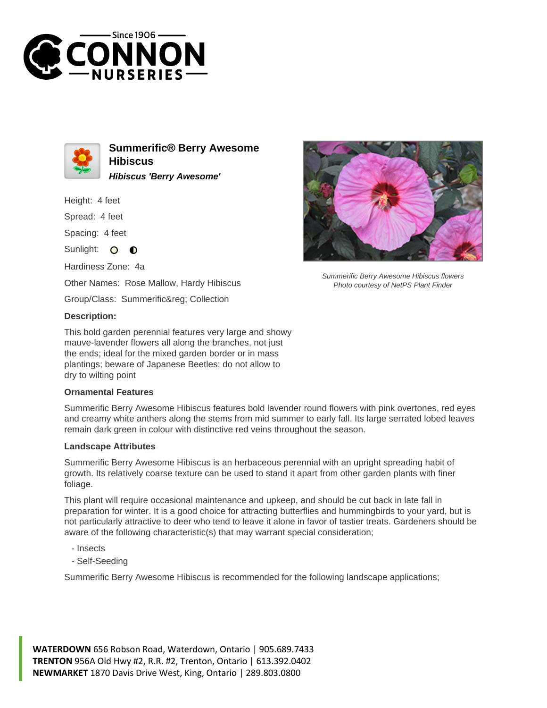



**Summerific® Berry Awesome Hibiscus Hibiscus 'Berry Awesome'**

Height: 4 feet

Spread: 4 feet

Spacing: 4 feet

Sunlight: O  $\bullet$ 

Hardiness Zone: 4a

Other Names: Rose Mallow, Hardy Hibiscus

Group/Class: Summerific® Collection

## **Description:**

This bold garden perennial features very large and showy mauve-lavender flowers all along the branches, not just the ends; ideal for the mixed garden border or in mass plantings; beware of Japanese Beetles; do not allow to dry to wilting point

## **Ornamental Features**

Summerific Berry Awesome Hibiscus features bold lavender round flowers with pink overtones, red eyes and creamy white anthers along the stems from mid summer to early fall. Its large serrated lobed leaves remain dark green in colour with distinctive red veins throughout the season.

## **Landscape Attributes**

Summerific Berry Awesome Hibiscus is an herbaceous perennial with an upright spreading habit of growth. Its relatively coarse texture can be used to stand it apart from other garden plants with finer foliage.

This plant will require occasional maintenance and upkeep, and should be cut back in late fall in preparation for winter. It is a good choice for attracting butterflies and hummingbirds to your yard, but is not particularly attractive to deer who tend to leave it alone in favor of tastier treats. Gardeners should be aware of the following characteristic(s) that may warrant special consideration;

- Insects
- Self-Seeding

Summerific Berry Awesome Hibiscus is recommended for the following landscape applications;

**WATERDOWN** 656 Robson Road, Waterdown, Ontario | 905.689.7433 **TRENTON** 956A Old Hwy #2, R.R. #2, Trenton, Ontario | 613.392.0402 **NEWMARKET** 1870 Davis Drive West, King, Ontario | 289.803.0800



Summerific Berry Awesome Hibiscus flowers Photo courtesy of NetPS Plant Finder